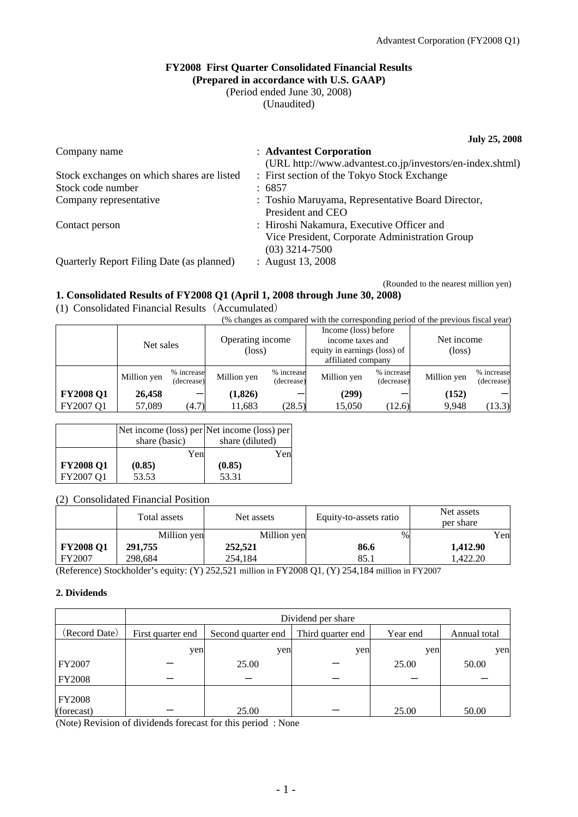### **FY2008 First Quarter Consolidated Financial Results (Prepared in accordance with U.S. GAAP)**

(Period ended June 30, 2008)

(Unaudited)

**July 25, 2008** 

| Company name                               | : Advantest Corporation                                   |
|--------------------------------------------|-----------------------------------------------------------|
|                                            | (URL http://www.advantest.co.jp/investors/en-index.shtml) |
| Stock exchanges on which shares are listed | : First section of the Tokyo Stock Exchange               |
| Stock code number                          | : 6857                                                    |
| Company representative                     | : Toshio Maruyama, Representative Board Director,         |
|                                            | President and CEO                                         |
| Contact person                             | : Hiroshi Nakamura, Executive Officer and                 |
|                                            | Vice President, Corporate Administration Group            |
|                                            | $(03)$ 3214-7500                                          |
| Quarterly Report Filing Date (as planned)  | : August 13, 2008                                         |
|                                            |                                                           |

(Rounded to the nearest million yen)

## **1. Consolidated Results of FY2008 Q1 (April 1, 2008 through June 30, 2008)**

(1) Consolidated Financial Results(Accumulated)

|  | $\frac{1}{2}$ | s changes as compared with the corresponding period of the previous fiscal vear) |
|--|---------------|----------------------------------------------------------------------------------|
|  |               |                                                                                  |

|                  | Net sales   |                          | Operating income<br>(loss) |                          | Income (loss) before<br>income taxes and<br>equity in earnings (loss) of<br>affiliated company |                          | Net income<br>$(\text{loss})$ |                          |
|------------------|-------------|--------------------------|----------------------------|--------------------------|------------------------------------------------------------------------------------------------|--------------------------|-------------------------------|--------------------------|
|                  | Million yen | % increase<br>(decrease) | Million yen                | % increase<br>(decrease) | Million yen                                                                                    | % increase<br>(decrease) | Million yen                   | % increase<br>(decrease) |
| <b>FY2008 Q1</b> | 26,458      |                          | (1, 826)                   |                          | (299)                                                                                          |                          | (152)                         |                          |
| FY2007 Q1        | 57,089      | (4.7)                    | 11,683                     | (28.5)                   | 15,050                                                                                         | (12.6)                   | 9,948                         | (13.3)                   |

|                  | share (basic) | Net income (loss) per Net income (loss) per<br>share (diluted) |
|------------------|---------------|----------------------------------------------------------------|
|                  | Yen           | Yen                                                            |
| <b>FY2008 Q1</b> | (0.85)        | (0.85)                                                         |
| FY2007 Q1        | 53.53         | 53.31                                                          |

## (2) Consolidated Financial Position

|                  | Total assets | Net assets  | Equity-to-assets ratio | Net assets<br>per share |
|------------------|--------------|-------------|------------------------|-------------------------|
|                  | Million yen  | Million yen | %                      | Yen                     |
| <b>FY2008 Q1</b> | 291,755      | 252,521     | 86.6                   | 1,412.90                |
| FY2007           | 298,684      | 254,184     | 85.1                   | .422.20                 |

(Reference) Stockholder's equity: (Y) 252,521 million in FY2008 Q1, (Y) 254,184 million in FY2007

## **2. Dividends**

|               | Dividend per share |                    |                   |          |              |  |
|---------------|--------------------|--------------------|-------------------|----------|--------------|--|
| (Record Date) | First quarter end  | Second quarter end | Third quarter end | Year end | Annual total |  |
|               | yen                | yen                | yen               | yen      | yen          |  |
| <b>FY2007</b> |                    | 25.00              |                   | 25.00    | 50.00        |  |
| <b>FY2008</b> |                    |                    |                   |          |              |  |
| <b>FY2008</b> |                    |                    |                   |          |              |  |
| (forecast)    |                    | 25.00              |                   | 25.00    | 50.00        |  |

(Note) Revision of dividends forecast for this period : None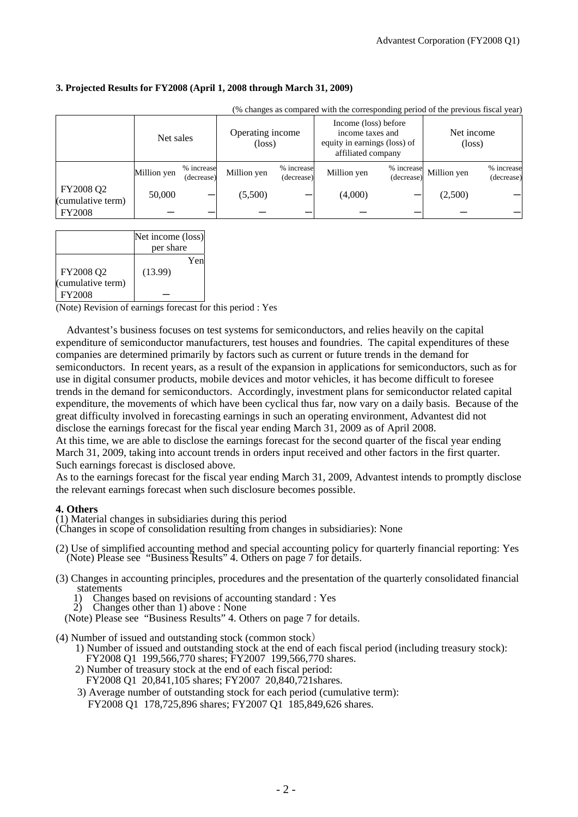### **3. Projected Results for FY2008 (April 1, 2008 through March 31, 2009)**

|                                | (% changes as compared with the corresponding period of the previous fiscal year) |                          |                                     |                          |                                                                                                |                          |                               |                          |
|--------------------------------|-----------------------------------------------------------------------------------|--------------------------|-------------------------------------|--------------------------|------------------------------------------------------------------------------------------------|--------------------------|-------------------------------|--------------------------|
|                                | Net sales                                                                         |                          | Operating income<br>$(\text{loss})$ |                          | Income (loss) before<br>income taxes and<br>equity in earnings (loss) of<br>affiliated company |                          | Net income<br>$(\text{loss})$ |                          |
|                                | Million yen                                                                       | % increase<br>(decrease) | Million yen                         | % increase<br>(decrease) | Million yen                                                                                    | % increase<br>(decrease) | Million yen                   | % increase<br>(decrease) |
| FY2008 Q2<br>(cumulative term) | 50,000                                                                            |                          | (5,500)                             |                          | (4,000)                                                                                        |                          | (2,500)                       |                          |
| <b>FY2008</b>                  |                                                                                   |                          |                                     |                          |                                                                                                |                          |                               |                          |

|                                | Net income (loss)<br>per share |
|--------------------------------|--------------------------------|
| FY2008 Q2<br>(cumulative term) | Yen<br>(13.99)                 |
| <b>FY2008</b>                  |                                |

(Note) Revision of earnings forecast for this period : Yes

 Advantest's business focuses on test systems for semiconductors, and relies heavily on the capital expenditure of semiconductor manufacturers, test houses and foundries. The capital expenditures of these companies are determined primarily by factors such as current or future trends in the demand for semiconductors. In recent years, as a result of the expansion in applications for semiconductors, such as for use in digital consumer products, mobile devices and motor vehicles, it has become difficult to foresee trends in the demand for semiconductors. Accordingly, investment plans for semiconductor related capital expenditure, the movements of which have been cyclical thus far, now vary on a daily basis. Because of the great difficulty involved in forecasting earnings in such an operating environment, Advantest did not disclose the earnings forecast for the fiscal year ending March 31, 2009 as of April 2008.

At this time, we are able to disclose the earnings forecast for the second quarter of the fiscal year ending March 31, 2009, taking into account trends in orders input received and other factors in the first quarter. Such earnings forecast is disclosed above.

As to the earnings forecast for the fiscal year ending March 31, 2009, Advantest intends to promptly disclose the relevant earnings forecast when such disclosure becomes possible.

### **4. Others**

(1) Material changes in subsidiaries during this period

(Changes in scope of consolidation resulting from changes in subsidiaries): None

(2) Use of simplified accounting method and special accounting policy for quarterly financial reporting: Yes (Note) Please see "Business Results" 4. Others on page 7 for details.

- (3) Changes in accounting principles, procedures and the presentation of the quarterly consolidated financial statements
	- 1) Changes based on revisions of accounting standard : Yes
	- Changes other than 1) above : None
	- (Note) Please see "Business Results" 4. Others on page 7 for details.
- (4) Number of issued and outstanding stock (common stock)
	- 1) Number of issued and outstanding stock at the end of each fiscal period (including treasury stock): FY2008 Q1 199,566,770 shares; FY2007 199,566,770 shares.
	- 2) Number of treasury stock at the end of each fiscal period: FY2008 Q1 20,841,105 shares; FY2007 20,840,721shares.
	- 3) Average number of outstanding stock for each period (cumulative term): FY2008 Q1 178,725,896 shares; FY2007 Q1 185,849,626 shares.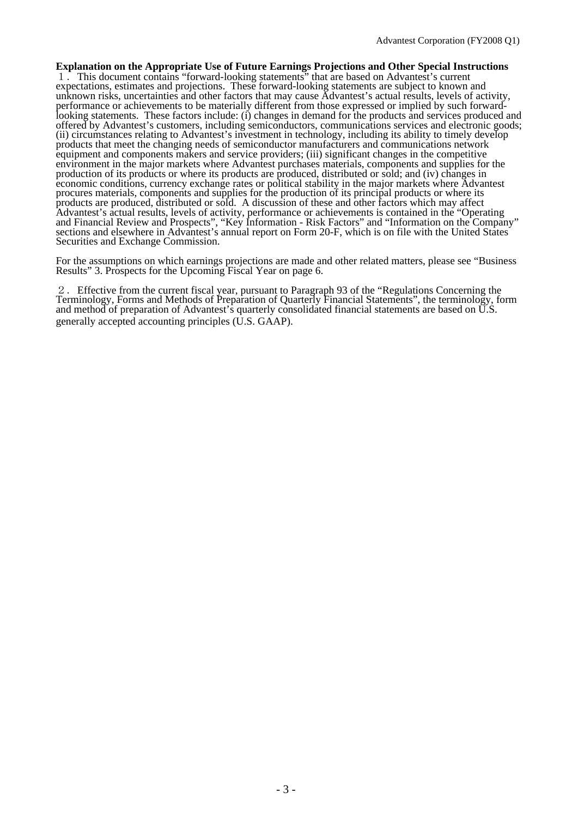**Explanation on the Appropriate Use of Future Earnings Projections and Other Special Instructions**  1.This document contains "forward-looking statements" that are based on Advantest's current expectations, estimates and projections. These forward-looking statements are subject to known and unknown risks, uncertainties and other factors that may cause Advantest's actual results, levels of activity, performance or achievements to be materially different from those expressed or implied by such forwardlooking statements. These factors include: (i) changes in demand for the products and services produced and offered by Advantest's customers, including semiconductors, communications services and electronic goods; (ii) circumstances relating to Advantest's investment in technology, including its ability to timely develop products that meet the changing needs of semiconductor manufacturers and communications network equipment and components makers and service providers; (iii) significant changes in the competitive environment in the major markets where Advantest purchases materials, components and supplies for the production of its products or where its products are produced, distributed or sold; and (iv) changes in economic conditions, currency exchange rates or political stability in the major markets where Advantest procures materials, components and supplies for the production of its principal products or where its products are produced, distributed or sold. A discussion of these and other factors which may affect Advantest's actual results, levels of activity, performance or achievements is contained in the "Operating and Financial Review and Prospects", "Key Information - Risk Factors" and "Information on the Company" sections and elsewhere in Advantest's annual report on Form 20-F, which is on file with the United States Securities and Exchange Commission.

For the assumptions on which earnings projections are made and other related matters, please see "Business Results" 3. Prospects for the Upcoming Fiscal Year on page 6.

2.Effective from the current fiscal year, pursuant to Paragraph 93 of the "Regulations Concerning the Terminology, Forms and Methods of Preparation of Quarterly Financial Statements", the terminology, form and method of preparation of Advantest's quarterly consolidated financial statements are based on U.S. generally accepted accounting principles (U.S. GAAP).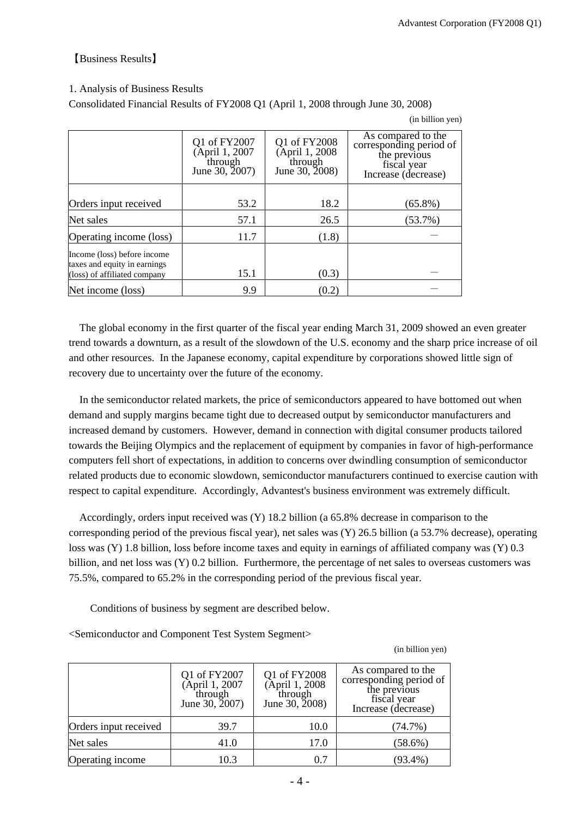## 【Business Results】

## 1. Analysis of Business Results

Consolidated Financial Results of FY2008 Q1 (April 1, 2008 through June 30, 2008)

(in billion yen)

|                                                                                             | Q1 of FY2007<br>(April 1, 2007)<br>through<br>June 30, 2007) | Q1 of FY2008<br>(April 1, 2008)<br>through<br>June 30, 2008) | As compared to the<br>corresponding period of<br>the previous<br>fiscal year<br>Increase (decrease) |
|---------------------------------------------------------------------------------------------|--------------------------------------------------------------|--------------------------------------------------------------|-----------------------------------------------------------------------------------------------------|
| Orders input received                                                                       | 53.2                                                         | 18.2                                                         | $(65.8\%)$                                                                                          |
|                                                                                             |                                                              |                                                              |                                                                                                     |
| Net sales                                                                                   | 57.1                                                         | 26.5                                                         | $(53.7\%)$                                                                                          |
| Operating income (loss)                                                                     | 11.7                                                         | (1.8)                                                        |                                                                                                     |
| Income (loss) before income<br>taxes and equity in earnings<br>(loss) of affiliated company | 15.1                                                         | (0.3)                                                        |                                                                                                     |
|                                                                                             |                                                              |                                                              |                                                                                                     |
| Net income (loss)                                                                           | 9.9                                                          | (0.2)                                                        |                                                                                                     |

The global economy in the first quarter of the fiscal year ending March 31, 2009 showed an even greater trend towards a downturn, as a result of the slowdown of the U.S. economy and the sharp price increase of oil and other resources. In the Japanese economy, capital expenditure by corporations showed little sign of recovery due to uncertainty over the future of the economy.

In the semiconductor related markets, the price of semiconductors appeared to have bottomed out when demand and supply margins became tight due to decreased output by semiconductor manufacturers and increased demand by customers. However, demand in connection with digital consumer products tailored towards the Beijing Olympics and the replacement of equipment by companies in favor of high-performance computers fell short of expectations, in addition to concerns over dwindling consumption of semiconductor related products due to economic slowdown, semiconductor manufacturers continued to exercise caution with respect to capital expenditure. Accordingly, Advantest's business environment was extremely difficult.

Accordingly, orders input received was (Y) 18.2 billion (a 65.8% decrease in comparison to the corresponding period of the previous fiscal year), net sales was (Y) 26.5 billion (a 53.7% decrease), operating loss was (Y) 1.8 billion, loss before income taxes and equity in earnings of affiliated company was (Y) 0.3 billion, and net loss was (Y) 0.2 billion. Furthermore, the percentage of net sales to overseas customers was 75.5%, compared to 65.2% in the corresponding period of the previous fiscal year.

Conditions of business by segment are described below.

<Semiconductor and Component Test System Segment>

(in billion yen)

|                       | Q1 of FY2007<br><b>April 1, 2007</b><br>through<br>June 30, 2007) | Q1 of FY2008<br>(April 1, 2008)<br>through<br>June 30, 2008) | As compared to the<br>corresponding period of<br>the previous<br>fiscal year<br>Increase (decrease) |
|-----------------------|-------------------------------------------------------------------|--------------------------------------------------------------|-----------------------------------------------------------------------------------------------------|
| Orders input received | 39.7                                                              | 10.0                                                         | (74.7%)                                                                                             |
| Net sales             | 41.0                                                              | 17.0                                                         | $(58.6\%)$                                                                                          |
| Operating income      | 10.3                                                              | 0.7                                                          | $(93.4\%)$                                                                                          |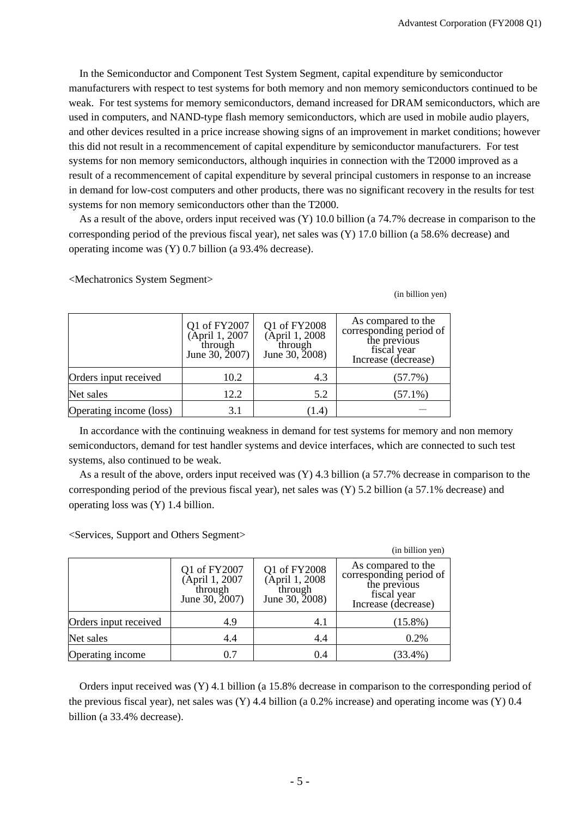In the Semiconductor and Component Test System Segment, capital expenditure by semiconductor manufacturers with respect to test systems for both memory and non memory semiconductors continued to be weak. For test systems for memory semiconductors, demand increased for DRAM semiconductors, which are used in computers, and NAND-type flash memory semiconductors, which are used in mobile audio players, and other devices resulted in a price increase showing signs of an improvement in market conditions; however this did not result in a recommencement of capital expenditure by semiconductor manufacturers. For test systems for non memory semiconductors, although inquiries in connection with the T2000 improved as a result of a recommencement of capital expenditure by several principal customers in response to an increase in demand for low-cost computers and other products, there was no significant recovery in the results for test systems for non memory semiconductors other than the T2000.

A s a result of the above, orders input received was (Y) 10.0 billion (a 74.7% decrease in comparison to the corresponding period of the previous fiscal year), net sales was (Y) 17.0 billion (a 58.6% decrease) and operating income was (Y) 0.7 billion (a 93.4% decrease).

<Mechatronics System Segment>

(in billion yen)

|                         | Q1 of FY2007<br>(April 1, 2007<br>through<br>June 30, 2007) | Q1 of FY2008<br>(April 1, 2008)<br>through<br>June 30, 2008) | As compared to the<br>corresponding period of<br>the previous<br>fiscal year<br>Increase (decrease) |
|-------------------------|-------------------------------------------------------------|--------------------------------------------------------------|-----------------------------------------------------------------------------------------------------|
| Orders input received   | 10.2                                                        | 4.3                                                          | (57.7%)                                                                                             |
| Net sales               | 12.2                                                        | 5.2                                                          | $(57.1\%)$                                                                                          |
| Operating income (loss) | 3.1                                                         | [1.4]                                                        |                                                                                                     |

In accordance with the continuing weakness in demand for test systems for memory and non memory semiconductors, demand for test handler systems and device interfaces, which are connected to such test systems, also continued to be weak.

A s a result of the above, orders input received was (Y) 4.3 billion (a 57.7% decrease in comparison to the corresponding period of the previous fiscal year), net sales was (Y) 5.2 billion (a 57.1% decrease) and operating loss was (Y) 1.4 billion.

|                       |                                                            |                                                              | (in billion yen)                                                                                    |
|-----------------------|------------------------------------------------------------|--------------------------------------------------------------|-----------------------------------------------------------------------------------------------------|
|                       | Q1 of FY2007<br>April 1, 2007<br>through<br>June 30, 2007) | Q1 of FY2008<br>(April 1, 2008)<br>through<br>June 30, 2008) | As compared to the<br>corresponding period of<br>the previous<br>fiscal year<br>Increase (decrease) |
| Orders input received | 4.9                                                        | 4.1                                                          | $(15.8\%)$                                                                                          |
| Net sales             | 4.4                                                        | 4.4                                                          | 0.2%                                                                                                |
| Operating income      | 0.7                                                        | 0.4                                                          | $(33.4\%)$                                                                                          |

<Services, Support and Others Segment>

billion (a 33.4% decrease). Orders input received was (Y) 4.1 billion (a 15.8% decrease in comparison to the corresponding period of the previous fiscal year), net sales was (Y) 4.4 billion (a 0.2% increase) and operating income was (Y) 0.4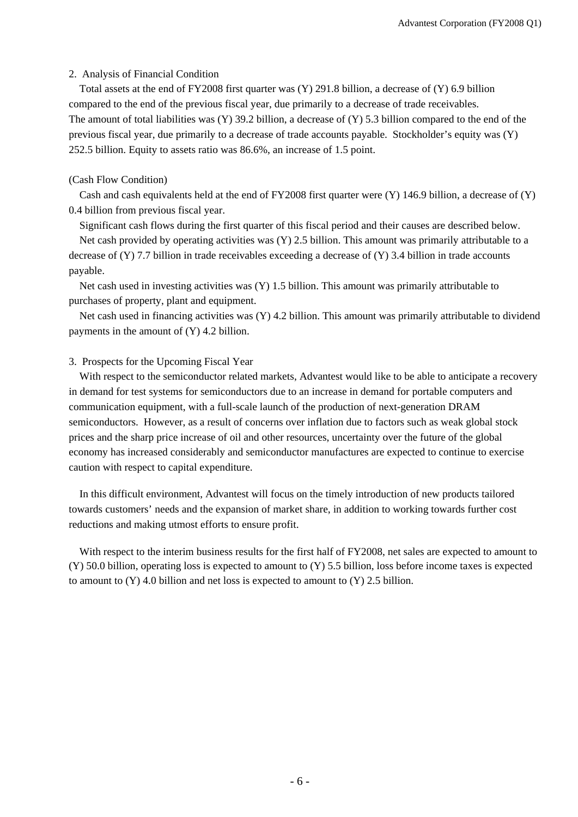### 2. Analysis of Financial Condition

Total assets at the end of FY2008 first quarter was (Y) 291.8 billion, a decrease of (Y) 6.9 billion compared to the end of the previous fiscal year, due primarily to a decrease of trade receivables. The amount of total liabilities was (Y) 39.2 billion, a decrease of (Y) 5.3 billion compared to the end of the previous fiscal year, due primarily to a decrease of trade accounts payable. Stockholder's equity was (Y) 252.5 billion. Equity to assets ratio was 86.6%, an increase of 1.5 point.

### (Cash Flow Condition)

Cash and cash equivalents held at the end of FY2008 first quarter were  $(Y)$  146.9 billion, a decrease of  $(Y)$ 0.4 billion from previous fiscal year.

Significant cash flows during the first quarter of this fiscal period and their causes are described below.

Net cash provided by operating activities was (Y) 2.5 billion. This amount was primarily attributable to a decrease of  $(Y)$  7.7 billion in trade receivables exceeding a decrease of  $(Y)$  3.4 billion in trade accounts payable.

Net cash used in investing activities was (Y) 1.5 billion. This amount was primarily attributable to purchases of property, plant and equipment.

Net cash used in financing activities was (Y) 4.2 billion. This amount was primarily attributable to dividend payments in the amount of (Y) 4.2 billion.

### 3. Prospects for the Upcoming Fiscal Year

With respect to the semiconductor related markets, Advantest would like to be able to anticipate a recovery in demand for test systems for semiconductors due to an increase in demand for portable computers and communication equipment, with a full-scale launch of the production of next-generation DRAM semiconductors. However, as a result of concerns over inflation due to factors such as weak global stock prices and the sharp price increase of oil and other resources, uncertainty over the future of the global economy has increased considerably and semiconductor manufactures are expected to continue to exercise caution with respect to capital expenditure.

In this difficult environment, Advantest will focus on the timely introduction of new products tailored towards customers' needs and the expansion of market share, in addition to working towards further cost reductions and making utmost efforts to ensure profit.

W ith respect to the interim business results for the first half of FY2008, net sales are expected to amount to  $(Y)$  50.0 billion, operating loss is expected to amount to  $(Y)$  5.5 billion, loss before income taxes is expected to amount to  $(Y)$  4.0 billion and net loss is expected to amount to  $(Y)$  2.5 billion.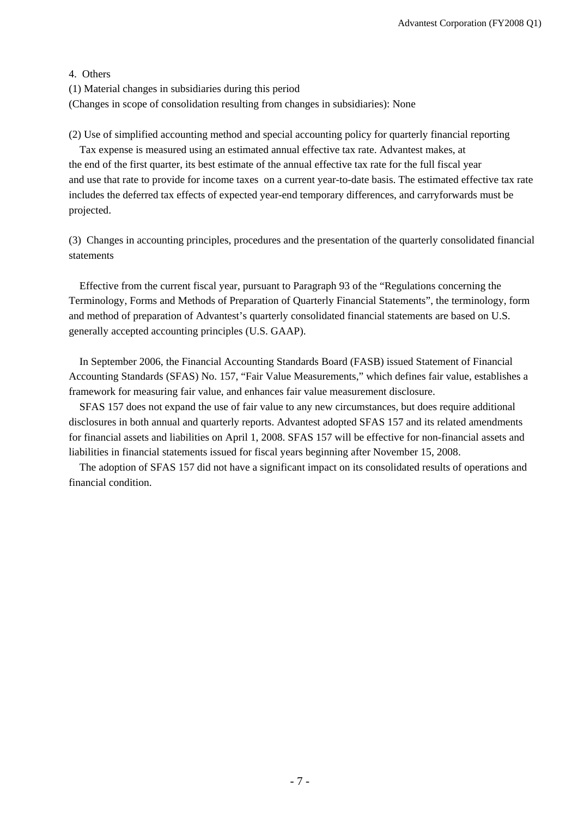## 4. Others

(1) Material changes in subsidiaries during this period

(Changes in scope of consolidation resulting from changes in subsidiaries): None

(2) Use of simplified accounting method and special accounting policy for quarterly financial reporting

Tax expense is measured using an estimated annual effective tax rate. Advantest makes, at the end of the first quarter, its best estimate of the annual effective tax rate for the full fiscal year and use that rate to provide for income taxes on a current year-to-date basis. The estimated effective tax rate includes the deferred tax effects of expected year-end temporary differences, and carryforwards must be projected.

(3) Changes in accounting principles, procedures and the presentation of the quarterly consolidated financial statements

Effective from the current fiscal year, pursuant to Paragraph 93 of the "Regulations concerning the Terminology, Forms and Methods of Preparation of Quarterly Financial Statements", the terminology, form and method of preparation of Advantest's quarterly consolidated financial statements are based on U.S. generally accepted accounting principles (U.S. GAAP).

In September 2006, the Financial Accounting Standards Board (FASB) issued Statement of Financial Accounting Standards (SFAS) No. 157, "Fair Value Measurements," which defines fair value, establishes a framework for measuring fair value, and enhances fair value measurement disclosure.

SFAS 157 does not expand the use of fair value to any new circumstances, but does require additional disclosures in both annual and quarterly reports. Advantest adopted SFAS 157 and its related amendments for financial assets and liabilities on April 1, 2008. SFAS 157 will be effective for non-financial assets and liabilities in financial statements issued for fiscal years beginning after November 15, 2008.

The adoption of SFAS 157 did not have a significant impact on its consolidated results of operations an d financial condition.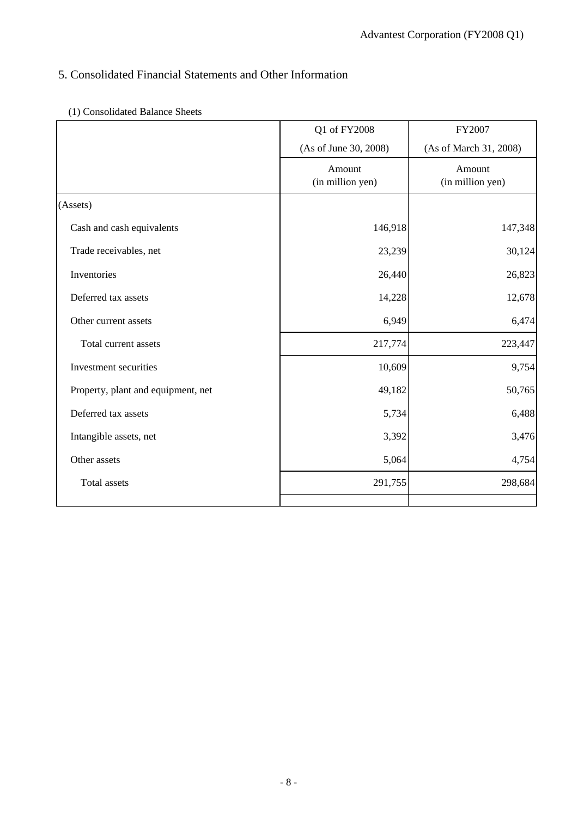# 5. Consolidated Financial Statements and Other Information

| (1) Consolidated Balance Sheets |  |
|---------------------------------|--|
|                                 |  |

|                                    | Q1 of FY2008               | FY2007                     |
|------------------------------------|----------------------------|----------------------------|
|                                    | (As of June 30, 2008)      | (As of March 31, 2008)     |
|                                    | Amount<br>(in million yen) | Amount<br>(in million yen) |
| (Assets)                           |                            |                            |
| Cash and cash equivalents          | 146,918                    | 147,348                    |
| Trade receivables, net             | 23,239                     | 30,124                     |
| Inventories                        | 26,440                     | 26,823                     |
| Deferred tax assets                | 14,228                     | 12,678                     |
| Other current assets               | 6,949                      | 6,474                      |
| Total current assets               | 217,774                    | 223,447                    |
| Investment securities              | 10,609                     | 9,754                      |
| Property, plant and equipment, net | 49,182                     | 50,765                     |
| Deferred tax assets                | 5,734                      | 6,488                      |
| Intangible assets, net             | 3,392                      | 3,476                      |
| Other assets                       | 5,064                      | 4,754                      |
| Total assets                       | 291,755                    | 298,684                    |
|                                    |                            |                            |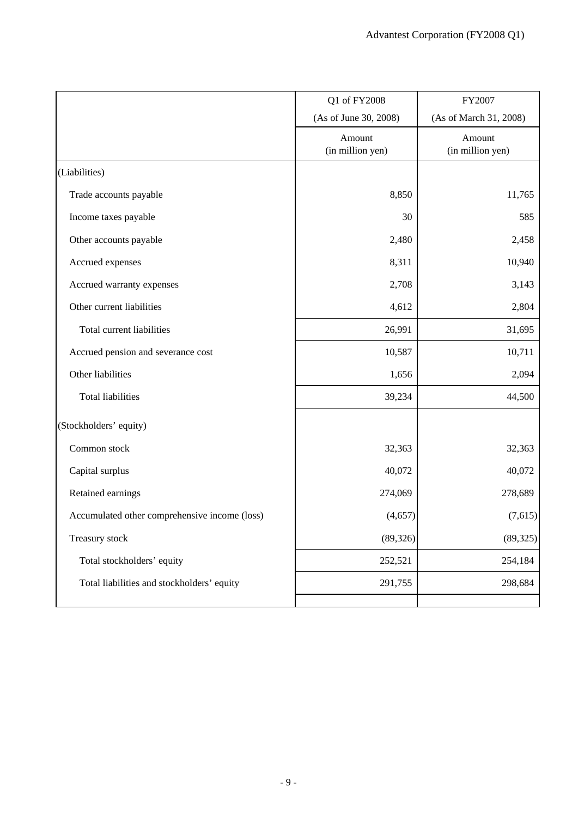|                                               | Q1 of FY2008               | FY2007                     |
|-----------------------------------------------|----------------------------|----------------------------|
|                                               | (As of June 30, 2008)      | (As of March 31, 2008)     |
|                                               | Amount<br>(in million yen) | Amount<br>(in million yen) |
| (Liabilities)                                 |                            |                            |
| Trade accounts payable                        | 8,850                      | 11,765                     |
| Income taxes payable                          | 30                         | 585                        |
| Other accounts payable                        | 2,480                      | 2,458                      |
| Accrued expenses                              | 8,311                      | 10,940                     |
| Accrued warranty expenses                     | 2,708                      | 3,143                      |
| Other current liabilities                     | 4,612                      | 2,804                      |
| Total current liabilities                     | 26,991                     | 31,695                     |
| Accrued pension and severance cost            | 10,587                     | 10,711                     |
| Other liabilities                             | 1,656                      | 2,094                      |
| <b>Total liabilities</b>                      | 39,234                     | 44,500                     |
| (Stockholders' equity)                        |                            |                            |
| Common stock                                  | 32,363                     | 32,363                     |
| Capital surplus                               | 40,072                     | 40,072                     |
| Retained earnings                             | 274,069                    | 278,689                    |
| Accumulated other comprehensive income (loss) | (4,657)                    | (7,615)                    |
| Treasury stock                                | (89, 326)                  | (89, 325)                  |
| Total stockholders' equity                    | 252,521                    | 254,184                    |
| Total liabilities and stockholders' equity    | 291,755                    | 298,684                    |
|                                               |                            |                            |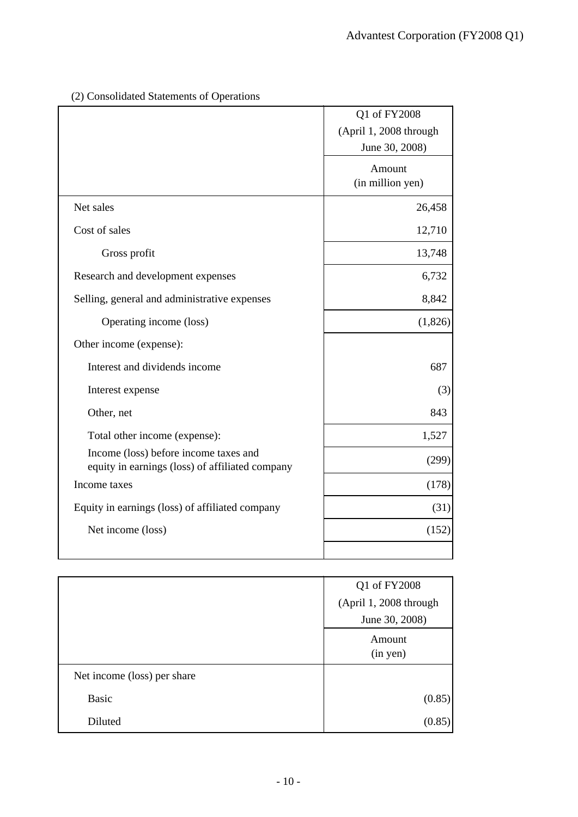|                                                                                          | Q1 of FY2008<br>(April 1, 2008 through<br>June 30, 2008) |
|------------------------------------------------------------------------------------------|----------------------------------------------------------|
|                                                                                          | Amount<br>(in million yen)                               |
| Net sales                                                                                | 26,458                                                   |
| Cost of sales                                                                            | 12,710                                                   |
| Gross profit                                                                             | 13,748                                                   |
| Research and development expenses                                                        | 6,732                                                    |
| Selling, general and administrative expenses                                             | 8,842                                                    |
| Operating income (loss)                                                                  | (1,826)                                                  |
| Other income (expense):                                                                  |                                                          |
| Interest and dividends income                                                            | 687                                                      |
| Interest expense                                                                         | (3)                                                      |
| Other, net                                                                               | 843                                                      |
| Total other income (expense):                                                            | 1,527                                                    |
| Income (loss) before income taxes and<br>equity in earnings (loss) of affiliated company | (299)                                                    |
| Income taxes                                                                             | (178)                                                    |
| Equity in earnings (loss) of affiliated company                                          | (31)                                                     |
| Net income (loss)                                                                        | (152)                                                    |

(2) Consolidated Statements of Operations

|                             | Q1 of FY2008           |  |
|-----------------------------|------------------------|--|
|                             | (April 1, 2008 through |  |
|                             | June 30, 2008)         |  |
|                             | Amount                 |  |
|                             | (in yen)               |  |
| Net income (loss) per share |                        |  |
| <b>Basic</b>                | (0.85)                 |  |
| Diluted                     | (0.85)                 |  |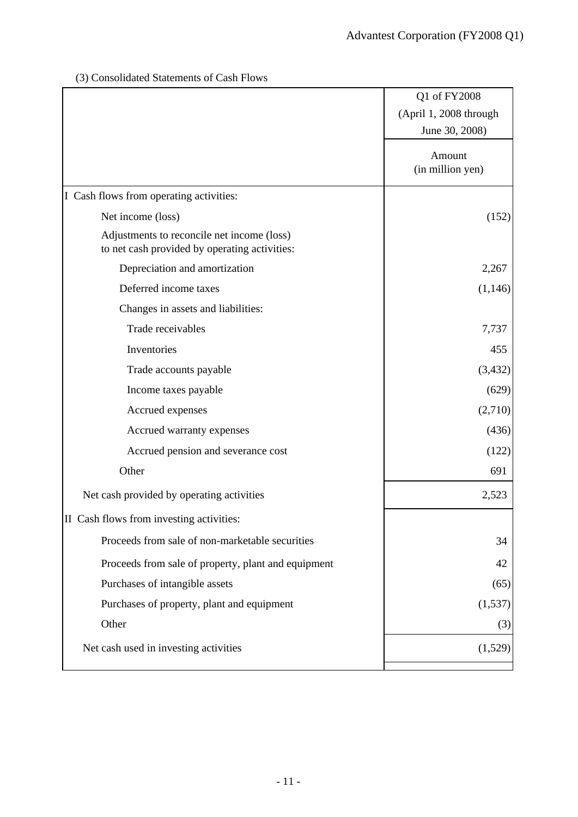## (3) Consolidated Statements of Cash Flows

|                                                                                             | Q1 of FY2008           |
|---------------------------------------------------------------------------------------------|------------------------|
|                                                                                             | (April 1, 2008 through |
|                                                                                             | June 30, 2008)         |
|                                                                                             | Amount                 |
|                                                                                             | (in million yen)       |
| I Cash flows from operating activities:                                                     |                        |
| Net income (loss)                                                                           | (152)                  |
| Adjustments to reconcile net income (loss)<br>to net cash provided by operating activities: |                        |
| Depreciation and amortization                                                               | 2,267                  |
| Deferred income taxes                                                                       | (1,146)                |
| Changes in assets and liabilities:                                                          |                        |
| Trade receivables                                                                           | 7,737                  |
| Inventories                                                                                 | 455                    |
| Trade accounts payable                                                                      | (3, 432)               |
| Income taxes payable                                                                        | (629)                  |
| Accrued expenses                                                                            | (2,710)                |
| Accrued warranty expenses                                                                   | (436)                  |
| Accrued pension and severance cost                                                          | (122)                  |
| Other                                                                                       | 691                    |
| Net cash provided by operating activities                                                   | 2,523                  |
| II Cash flows from investing activities:                                                    |                        |
| Proceeds from sale of non-marketable securities                                             | 34                     |
| Proceeds from sale of property, plant and equipment                                         | 42                     |
| Purchases of intangible assets                                                              | (65)                   |
| Purchases of property, plant and equipment                                                  | (1, 537)               |
| Other                                                                                       | (3)                    |
| Net cash used in investing activities                                                       | (1,529)                |
|                                                                                             |                        |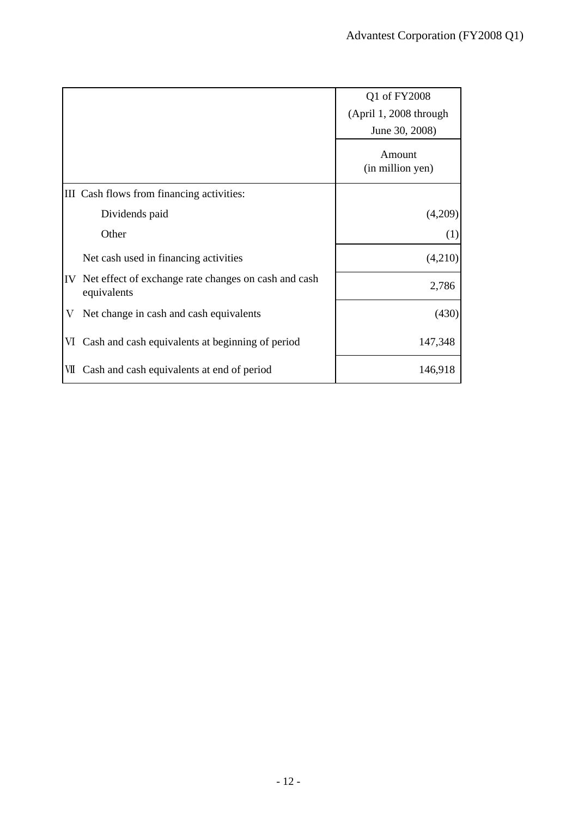|                                                                           | Q1 of FY2008               |
|---------------------------------------------------------------------------|----------------------------|
|                                                                           | (April 1, 2008 through     |
|                                                                           | June 30, 2008)             |
|                                                                           | Amount<br>(in million yen) |
| III Cash flows from financing activities:                                 |                            |
| Dividends paid                                                            | (4,209)                    |
| Other                                                                     | (1)                        |
| Net cash used in financing activities                                     | (4,210)                    |
| Net effect of exchange rate changes on cash and cash<br>IV<br>equivalents | 2,786                      |
| Net change in cash and cash equivalents<br>V                              | (430)                      |
| Cash and cash equivalents at beginning of period<br>VI                    | 147,348                    |
| Cash and cash equivalents at end of period<br>VІІ                         | 146,918                    |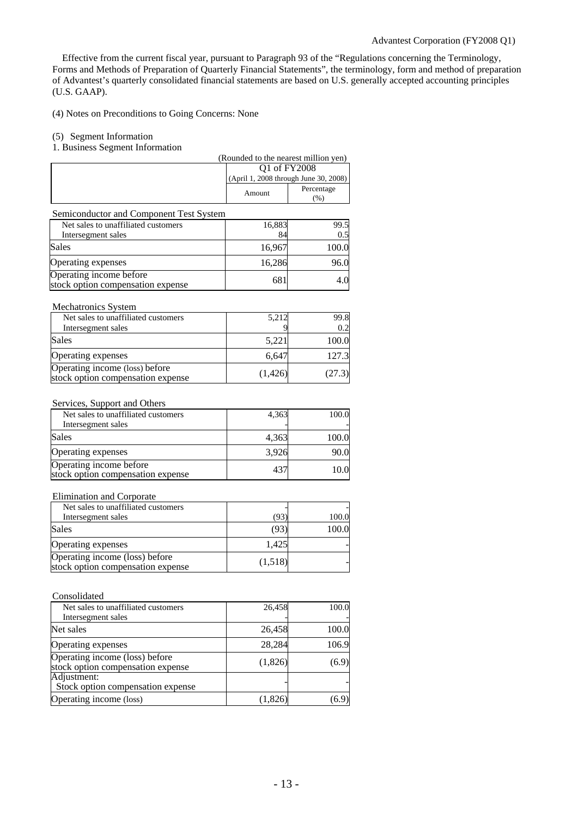Effective from the current fiscal year, pursuant to Paragraph 93 of the "Regulations concerning the Terminology, Forms and Methods of Preparation of Quarterly Financial Statements", the terminology, form and method of preparation of Advantest's quarterly consolidated financial statements are based on U.S. generally accepted accounting principles (U.S. GAAP).

(4) Notes on Preconditions to Going Concerns: None

## (5) Segment Information

#### 1. Business Segment Information

|                                                                     | (Rounded to the nearest million yen) |                                                       |  |
|---------------------------------------------------------------------|--------------------------------------|-------------------------------------------------------|--|
|                                                                     |                                      | Q1 of FY2008<br>(April 1, 2008 through June 30, 2008) |  |
|                                                                     |                                      |                                                       |  |
|                                                                     | Amount                               | Percentage<br>(%)                                     |  |
| Semiconductor and Component Test System                             |                                      |                                                       |  |
| Net sales to unaffiliated customers                                 | 16,883                               | 99.5                                                  |  |
| Intersegment sales                                                  | 84                                   | 0.5                                                   |  |
| Sales                                                               | 16,967                               | 100.0                                                 |  |
| Operating expenses                                                  | 16,286                               | 96.0                                                  |  |
| Operating income before<br>stock option compensation expense        | 681                                  | 4.0                                                   |  |
| Mechatronics System                                                 |                                      |                                                       |  |
| Net sales to unaffiliated customers                                 | 5,212                                | 99.8                                                  |  |
| Intersegment sales                                                  |                                      | 0.2                                                   |  |
| <b>Sales</b>                                                        | 5,221                                | 100.0                                                 |  |
| Operating expenses                                                  | 6,647                                | 127.3                                                 |  |
| Operating income (loss) before<br>stock option compensation expense | (1,426)                              | (27.3)                                                |  |
|                                                                     |                                      |                                                       |  |
| Services, Support and Others<br>Net sales to unaffiliated customers | 4,363                                | 100.0                                                 |  |
| Intersegment sales                                                  |                                      |                                                       |  |
| <b>Sales</b>                                                        | 4,363                                | 100.0                                                 |  |
| Operating expenses                                                  | 3,926                                | 90.0                                                  |  |
| Operating income before                                             | 437                                  | 10.0                                                  |  |
| stock option compensation expense                                   |                                      |                                                       |  |
| Elimination and Corporate                                           |                                      |                                                       |  |
| Net sales to unaffiliated customers                                 |                                      |                                                       |  |
| Intersegment sales                                                  | (93)                                 | 100.0                                                 |  |
| <b>Sales</b>                                                        | (93)                                 | 100.0                                                 |  |
| Operating expenses                                                  | 1,425                                |                                                       |  |
| Operating income (loss) before<br>stock option compensation expense | (1,518)                              |                                                       |  |
|                                                                     |                                      |                                                       |  |
| Consolidated                                                        |                                      |                                                       |  |
| Net sales to unaffiliated customers                                 | 26,458                               | 100.0                                                 |  |
| Intersegment sales                                                  |                                      |                                                       |  |
| Net sales                                                           | 26,458                               | 100.0                                                 |  |
| Operating expenses                                                  | 28,284                               | 106.9                                                 |  |
| Operating income (loss) before                                      | (1,826)                              | (6.9)                                                 |  |
| stock option compensation expense                                   |                                      |                                                       |  |
| Adjustment:                                                         |                                      |                                                       |  |
| Stock option compensation expense<br>Operating income (loss)        |                                      |                                                       |  |
|                                                                     | (1,826)                              | (6.9)                                                 |  |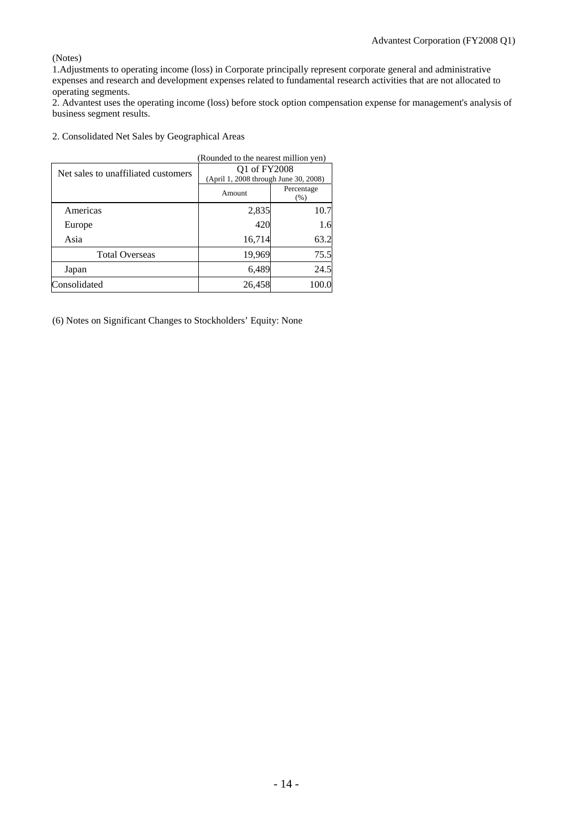(Notes)

1.Adjustments to operating income (loss) in Corporate principally represent corporate general and administrative expenses and research and development expenses related to fundamental research activities that are not allocated to operating segments.

2. Advantest uses the operating income (loss) before stock option compensation expense for management's analysis of business segment results.

2. Consolidated Net Sales by Geographical Areas

|                                     | (Rounded to the nearest million yen)  |                    |
|-------------------------------------|---------------------------------------|--------------------|
| Net sales to unaffiliated customers | Q1 of FY2008                          |                    |
|                                     | (April 1, 2008 through June 30, 2008) |                    |
|                                     | Amount                                | Percentage<br>(% ) |
| Americas                            | 2,835                                 | 10.7               |
| Europe                              | 420                                   | 1.6                |
| Asia                                | 16,714                                | 63.2               |
| <b>Total Overseas</b>               | 19,969                                | 75.5               |
| Japan                               | 6,489                                 | 24.5               |
| Consolidated                        | 26,458                                | 100.0              |

(6) Notes on Significant Changes to Stockholders' Equity: None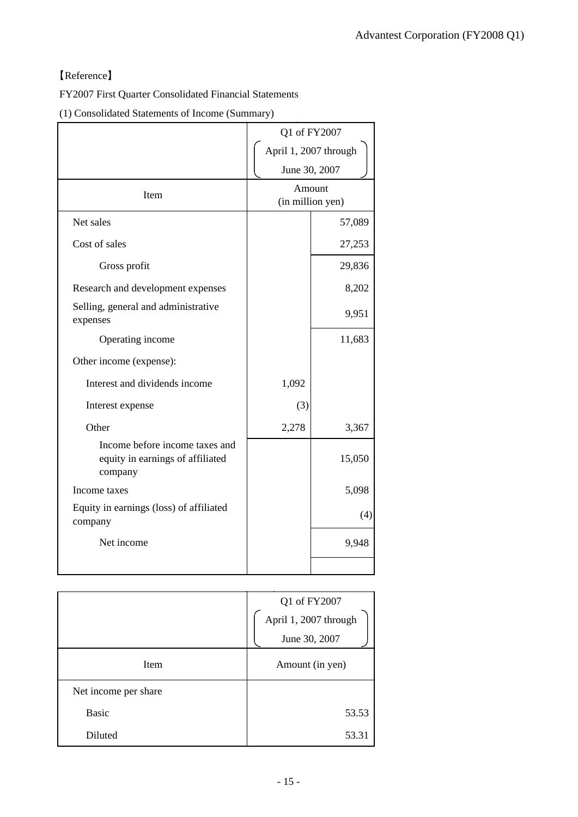## 【Reference】

FY2007 First Quarter Consolidated Financial Statements

(1) Consolidated Statements of Income (Summary)

|                                                                               | Q1 of FY2007               |        |
|-------------------------------------------------------------------------------|----------------------------|--------|
|                                                                               | April 1, 2007 through      |        |
|                                                                               | June 30, 2007              |        |
| Item                                                                          | Amount<br>(in million yen) |        |
| Net sales                                                                     |                            | 57,089 |
| Cost of sales                                                                 |                            | 27,253 |
| Gross profit                                                                  |                            | 29,836 |
| Research and development expenses                                             |                            | 8,202  |
| Selling, general and administrative<br>expenses                               |                            | 9,951  |
| Operating income                                                              |                            | 11,683 |
| Other income (expense):                                                       |                            |        |
| Interest and dividends income                                                 | 1,092                      |        |
| Interest expense                                                              | (3)                        |        |
| Other                                                                         | 2,278                      | 3,367  |
| Income before income taxes and<br>equity in earnings of affiliated<br>company |                            | 15,050 |
| Income taxes                                                                  |                            | 5,098  |
| Equity in earnings (loss) of affiliated<br>company                            |                            | (4)    |
| Net income                                                                    |                            | 9,948  |
|                                                                               |                            |        |

|                      | Q1 of FY2007<br>April 1, 2007 through<br>June 30, 2007 |  |
|----------------------|--------------------------------------------------------|--|
| Item                 | Amount (in yen)                                        |  |
| Net income per share |                                                        |  |
| <b>Basic</b>         | 53.53                                                  |  |
| Diluted              | 53.31                                                  |  |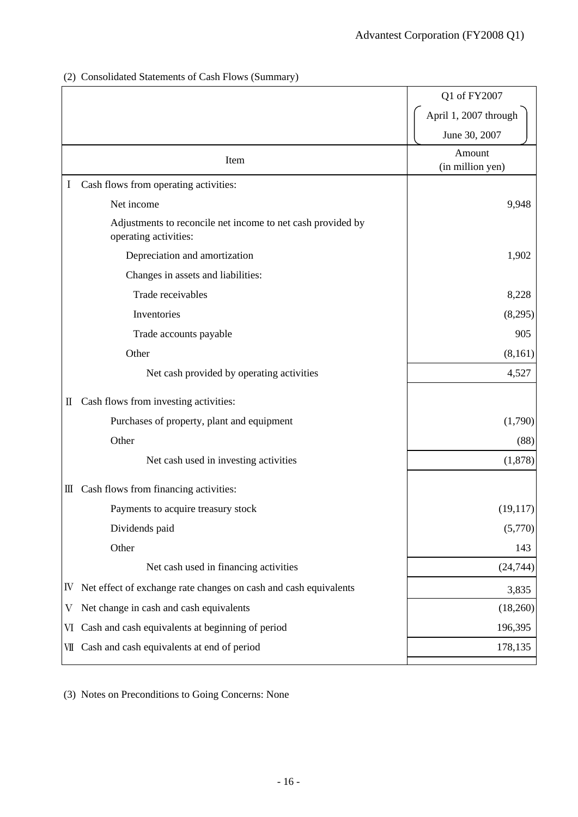## (2) Consolidated Statements of Cash Flows (Summary)

|     |                                                                                      | Q1 of FY2007               |
|-----|--------------------------------------------------------------------------------------|----------------------------|
|     |                                                                                      | April 1, 2007 through      |
|     |                                                                                      | June 30, 2007              |
|     | Item                                                                                 | Amount<br>(in million yen) |
| I   | Cash flows from operating activities:                                                |                            |
|     | Net income                                                                           | 9,948                      |
|     | Adjustments to reconcile net income to net cash provided by<br>operating activities: |                            |
|     | Depreciation and amortization                                                        | 1,902                      |
|     | Changes in assets and liabilities:                                                   |                            |
|     | Trade receivables                                                                    | 8,228                      |
|     | Inventories                                                                          | (8,295)                    |
|     | Trade accounts payable                                                               | 905                        |
|     | Other                                                                                | (8,161)                    |
|     | Net cash provided by operating activities                                            | 4,527                      |
| П   | Cash flows from investing activities:                                                |                            |
|     | Purchases of property, plant and equipment                                           | (1,790)                    |
|     | Other                                                                                | (88)                       |
|     | Net cash used in investing activities                                                | (1,878)                    |
| Ш   | Cash flows from financing activities:                                                |                            |
|     | Payments to acquire treasury stock                                                   | (19,117)                   |
|     | Dividends paid                                                                       | (5,770)                    |
|     | Other                                                                                | 143                        |
|     | Net cash used in financing activities                                                | (24, 744)                  |
| IV  | Net effect of exchange rate changes on cash and cash equivalents                     | 3,835                      |
| V   | Net change in cash and cash equivalents                                              | (18,260)                   |
| VI  | Cash and cash equivalents at beginning of period                                     | 196,395                    |
| VII | Cash and cash equivalents at end of period                                           | 178,135                    |

(3) Notes on Preconditions to Going Concerns: None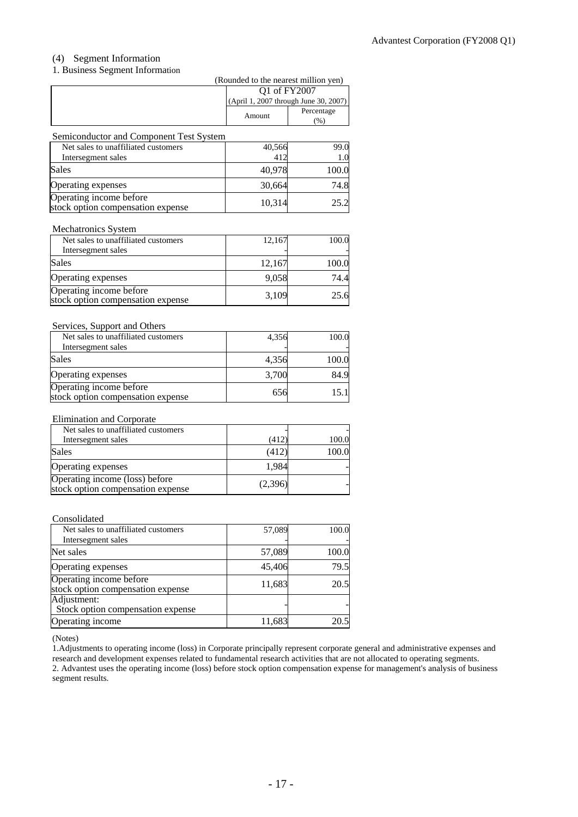## (4) Segment Information

## 1. Business Segment Information

|                                                                                |        |                                                       | (Rounded to the nearest million yen) |
|--------------------------------------------------------------------------------|--------|-------------------------------------------------------|--------------------------------------|
|                                                                                |        | Q1 of FY2007<br>(April 1, 2007 through June 30, 2007) |                                      |
|                                                                                |        |                                                       |                                      |
|                                                                                | Amount |                                                       | Percentage<br>(%)                    |
| Semiconductor and Component Test System<br>Net sales to unaffiliated customers |        | 40,566                                                | 99.0                                 |
| Intersegment sales                                                             |        | 412                                                   | 1.0                                  |
| <b>Sales</b>                                                                   |        | 40,978                                                | 100.0                                |
| Operating expenses                                                             |        | 30,664                                                | 74.8                                 |
| Operating income before                                                        |        | 10.21A                                                | 252                                  |

#### Mechatronics System

| Net sales to unaffiliated customers                          | 12,167 | 100.0 |
|--------------------------------------------------------------|--------|-------|
| Intersegment sales                                           |        |       |
| <b>Sales</b>                                                 | 12,167 | 100.0 |
| Operating expenses                                           | 9,058  | 74.4  |
| Operating income before<br>stock option compensation expense | 3,109  | 25.6  |

Operating income before<br>stock option compensation expense 10,314 25.2

### Services, Support and Others

| Net sales to unaffiliated customers                          | 4,356 | 100.0 |
|--------------------------------------------------------------|-------|-------|
| Intersegment sales                                           |       |       |
| Sales                                                        | 4,356 | 100.0 |
| Operating expenses                                           | 3,700 | 84.9  |
| Operating income before<br>stock option compensation expense | 656   | 15.11 |

### Elimination and Corporate

| Net sales to unaffiliated customers                                 |         |       |
|---------------------------------------------------------------------|---------|-------|
| Intersegment sales                                                  | (412)   | 100.0 |
| <b>Sales</b>                                                        | (412)   | 100.0 |
| Operating expenses                                                  | 1.984   |       |
| Operating income (loss) before<br>stock option compensation expense | (2,396) |       |

#### Consolidated

| Net sales to unaffiliated customers                          | 57,089 | 100.0 |
|--------------------------------------------------------------|--------|-------|
| Intersegment sales                                           |        |       |
| Net sales                                                    | 57,089 | 100.0 |
| Operating expenses                                           | 45,406 | 79.5  |
| Operating income before<br>stock option compensation expense | 11,683 | 20.5  |
| Adjustment:<br>Stock option compensation expense             |        |       |
| Operating income                                             | 11,683 | 20.5  |

(Notes)

1.Adjustments to operating income (loss) in Corporate principally represent corporate general and administrative expenses and research and development expenses related to fundamental research activities that are not allocated to operating segments. 2. Advantest uses the operating income (loss) before stock option compensation expense for management's analysis of business segment results.